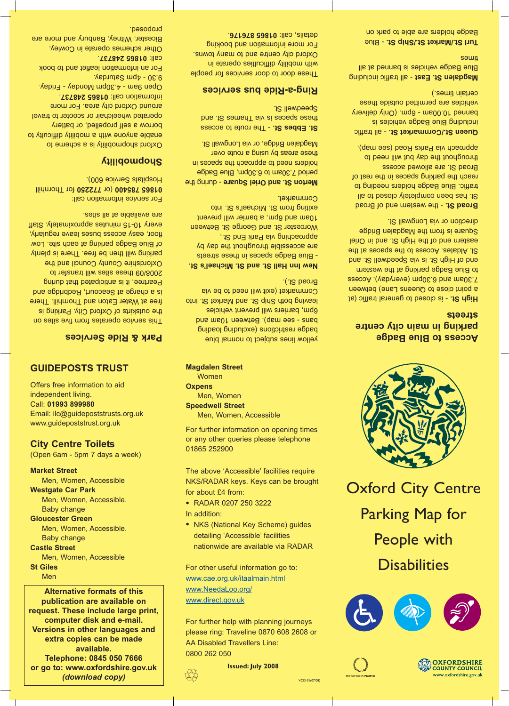# **GUIDEPOSTS TRUST**

Offers free information to aid independent living. Call: **01993 899980** Email: ilc@guidepoststrusts.org.uk www.guidepoststrust.org.uk

**City Centre Toilets** (Open 6am - 5pm 7 days a week)

**Market Street**

Men, Women, Accessible

**Westgate Car Park**

Men, Women, Accessible. Baby change

**Gloucester Green**

Men, Women, Accessible. Baby change

**Castle Street**

Men, Women, Accessible

#### **St Giles**

**Men** 

**Alternative formats of this publication are available on request. These include large print, computer disk and e-mail. Versions in other languages and extra copies can be made available. Telephone: 0845 050 7666 or go to: www.oxfordshire.gov.uk** *(download copy)*

**Magdalen Street Women Oxpens** Men, Women **Speedwell Street** Men, Women, Accessible

For further information on opening times or any other queries please telephone 01865 252900

The above 'Accessible' facilities require NKS/RADAR keys. Keys can be brought for about £4 from:

- RADAR 0207 250 3222 In addition:
- NKS (National Key Scheme) quides detailing 'Accessible' facilities nationwide are available via RADAR

For other useful information go to: www.cae.org.uk/itaalmain.html www.NeedaLoo.org/ www.direct.gov.uk

For further help with planning journeys please ring: Traveline 0870 608 2608 or AA Disabled Travellers Line: 0800 262 050



**Issued: July 2008**



Oxford City Centre Parking Map for People with **Disabilities** 







V023-01(07/08)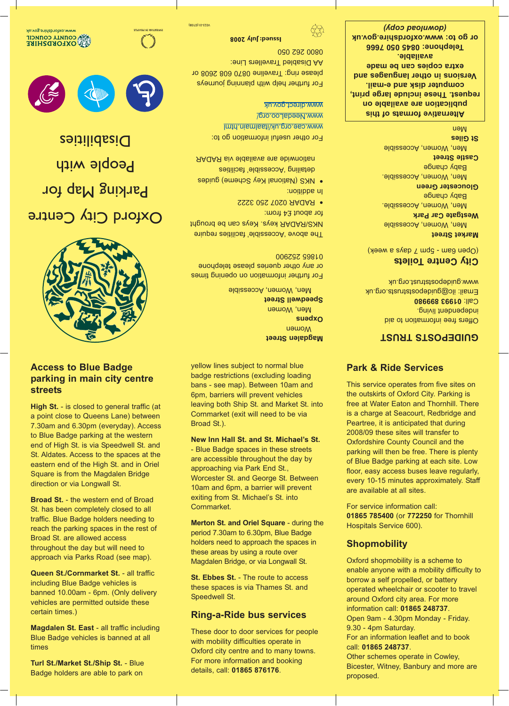# **Access to Blue Badge parking in main city centre streets**

**High St.** - is closed to general traffic (at a point close to Queens Lane) between 7.30am and 6.30pm (everyday). Access to Blue Badge parking at the western end of High St. is via Speedwell St. and St. Aldates. Access to the spaces at the eastern end of the High St. and in Oriel Square is from the Magdalen Bridge direction or via Longwall St.

**Broad St.** - the western end of Broad St. has been completely closed to all traffic. Blue Badge holders needing to reach the parking spaces in the rest of Broad St. are allowed access throughout the day but will need to approach via Parks Road (see map).

**Queen St./Cornmarket St.** - all traffic including Blue Badge vehicles is banned 10.00am - 6pm. (Only delivery vehicles are permitted outside these certain times.)

**Magdalen St. East** - all traffic including Blue Badge vehicles is banned at all times

**Turl St./Market St./Ship St.** - Blue Badge holders are able to park on

yellow lines subject to normal blue badge restrictions (excluding loading bans - see map). Between 10am and 6pm, barriers will prevent vehicles leaving both Ship St. and Market St. into Cornmarket (exit will need to be via Broad St.).

**New Inn Hall St. and St. Michael's St.** - Blue Badge spaces in these streets are accessible throughout the day by approaching via Park End St., Worcester St. and George St. Between 10am and 6pm, a barrier will prevent exiting from St. Michael's St. into Cornmarket.

**Merton St. and Oriel Square** - during the period 7.30am to 6.30pm, Blue Badge holders need to approach the spaces in these areas by using a route over Magdalen Bridge, or via Longwall St.

**St. Ebbes St.** - The route to access these spaces is via Thames St. and Speedwell St.

### **Ring-a-Ride bus services**

These door to door services for people with mobility difficulties operate in Oxford city centre and to many towns. For more information and booking details, call: **01865 876176**.

## **Park & Ride Services**

This service operates from five sites on the outskirts of Oxford City. Parking is free at Water Eaton and Thornhill. There is a charge at Seacourt, Redbridge and Peartree, it is anticipated that during 2008/09 these sites will transfer to Oxfordshire County Council and the parking will then be free. There is plenty of Blue Badge parking at each site. Low floor, easy access buses leave regularly, every 10-15 minutes approximately. Staff are available at all sites.

For service information call: **01865 785400** (or **772250** for Thornhill Hospitals Service 600).

### **Shopmobility**

Oxford shopmobility is a scheme to enable anyone with a mobility difficulty to borrow a self propelled, or battery operated wheelchair or scooter to travel around Oxford city area. For more information call: **01865 248737**. Open 9am - 4.30pm Monday - Friday. 9.30 - 4pm Saturday. For an information leaflet and to book call: **01865 248737**. Other schemes operate in Cowley, Bicester, Witney, Banbury and more are proposed.